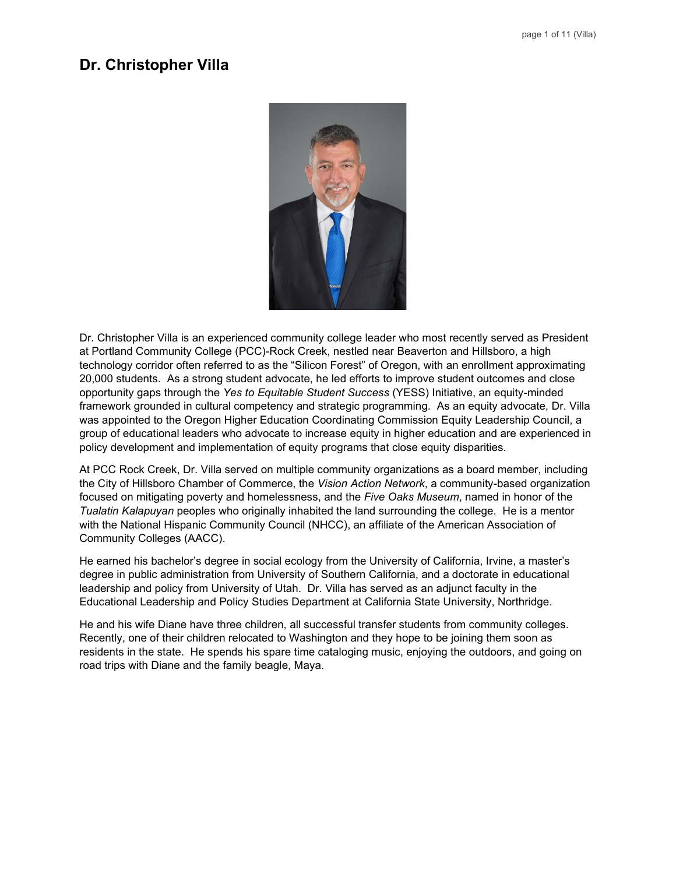# **Dr. Christopher Villa**



Dr. Christopher Villa is an experienced community college leader who most recently served as President at Portland Community College (PCC)-Rock Creek, nestled near Beaverton and Hillsboro, a high technology corridor often referred to as the "Silicon Forest" of Oregon, with an enrollment approximating 20,000 students. As a strong student advocate, he led efforts to improve student outcomes and close opportunity gaps through the *Yes to Equitable Student Success* (YESS) Initiative, an equity-minded framework grounded in cultural competency and strategic programming. As an equity advocate, Dr. Villa was appointed to the Oregon Higher Education Coordinating Commission Equity Leadership Council, a group of educational leaders who advocate to increase equity in higher education and are experienced in policy development and implementation of equity programs that close equity disparities.

At PCC Rock Creek, Dr. Villa served on multiple community organizations as a board member, including the City of Hillsboro Chamber of Commerce, the *Vision Action Network*, a community-based organization focused on mitigating poverty and homelessness, and the *Five Oaks Museum*, named in honor of the *Tualatin Kalapuyan* peoples who originally inhabited the land surrounding the college. He is a mentor with the National Hispanic Community Council (NHCC), an affiliate of the American Association of Community Colleges (AACC).

He earned his bachelor's degree in social ecology from the University of California, Irvine, a master's degree in public administration from University of Southern California, and a doctorate in educational leadership and policy from University of Utah. Dr. Villa has served as an adjunct faculty in the Educational Leadership and Policy Studies Department at California State University, Northridge.

He and his wife Diane have three children, all successful transfer students from community colleges. Recently, one of their children relocated to Washington and they hope to be joining them soon as residents in the state. He spends his spare time cataloging music, enjoying the outdoors, and going on road trips with Diane and the family beagle, Maya.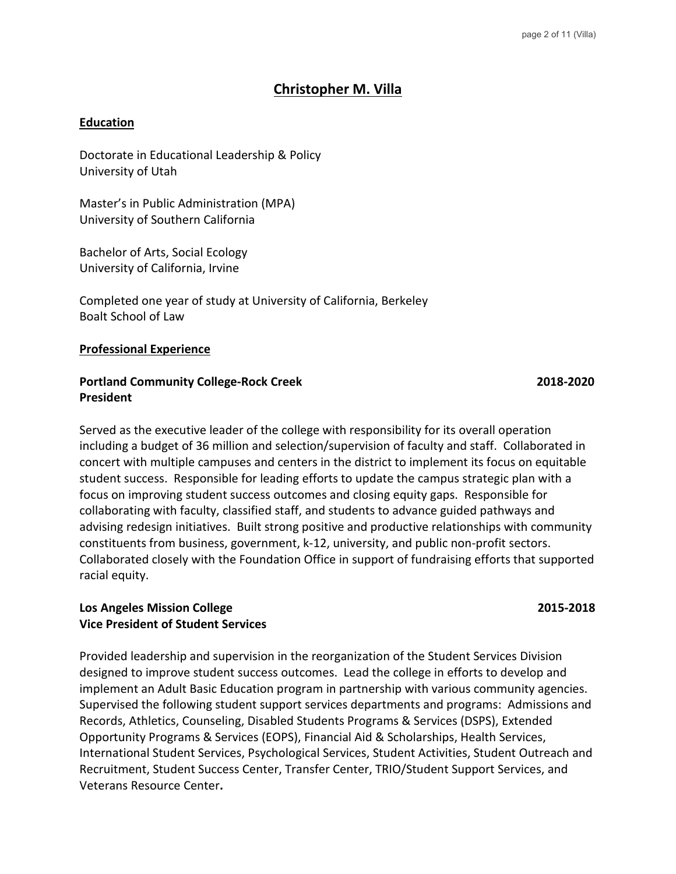# **Christopher M. Villa**

#### **Education**

Doctorate in Educational Leadership & Policy University of Utah

Master's in Public Administration (MPA) University of Southern California

Bachelor of Arts, Social Ecology University of California, Irvine

Completed one year of study at University of California, Berkeley Boalt School of Law

#### **Professional Experience**

#### Portland Community College-Rock Creek 2018-2020 **President**

Served as the executive leader of the college with responsibility for its overall operation including a budget of 36 million and selection/supervision of faculty and staff. Collaborated in concert with multiple campuses and centers in the district to implement its focus on equitable student success. Responsible for leading efforts to update the campus strategic plan with a focus on improving student success outcomes and closing equity gaps. Responsible for collaborating with faculty, classified staff, and students to advance guided pathways and advising redesign initiatives. Built strong positive and productive relationships with community constituents from business, government, k-12, university, and public non-profit sectors. Collaborated closely with the Foundation Office in support of fundraising efforts that supported racial equity.

#### **Los Angeles Mission College 2015-2018 Vice President of Student Services**

Provided leadership and supervision in the reorganization of the Student Services Division designed to improve student success outcomes. Lead the college in efforts to develop and implement an Adult Basic Education program in partnership with various community agencies. Supervised the following student support services departments and programs: Admissions and Records, Athletics, Counseling, Disabled Students Programs & Services (DSPS), Extended Opportunity Programs & Services (EOPS), Financial Aid & Scholarships, Health Services, International Student Services, Psychological Services, Student Activities, Student Outreach and Recruitment, Student Success Center, Transfer Center, TRIO/Student Support Services, and Veterans Resource Center**.**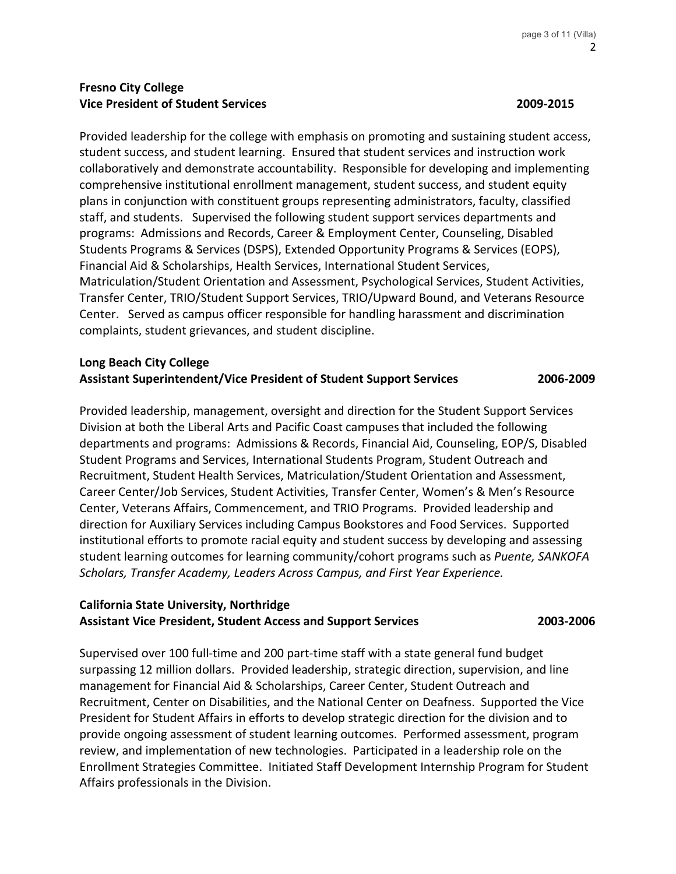# **Fresno City College Vice President of Student Services 2009-2015**

Provided leadership for the college with emphasis on promoting and sustaining student access, student success, and student learning. Ensured that student services and instruction work collaboratively and demonstrate accountability. Responsible for developing and implementing comprehensive institutional enrollment management, student success, and student equity plans in conjunction with constituent groups representing administrators, faculty, classified staff, and students. Supervised the following student support services departments and programs: Admissions and Records, Career & Employment Center, Counseling, Disabled Students Programs & Services (DSPS), Extended Opportunity Programs & Services (EOPS), Financial Aid & Scholarships, Health Services, International Student Services, Matriculation/Student Orientation and Assessment, Psychological Services, Student Activities, Transfer Center, TRIO/Student Support Services, TRIO/Upward Bound, and Veterans Resource Center. Served as campus officer responsible for handling harassment and discrimination complaints, student grievances, and student discipline.

## **Long Beach City College Assistant Superintendent/Vice President of Student Support Services 2006-2009**

Provided leadership, management, oversight and direction for the Student Support Services Division at both the Liberal Arts and Pacific Coast campuses that included the following departments and programs: Admissions & Records, Financial Aid, Counseling, EOP/S, Disabled Student Programs and Services, International Students Program, Student Outreach and Recruitment, Student Health Services, Matriculation/Student Orientation and Assessment, Career Center/Job Services, Student Activities, Transfer Center, Women's & Men's Resource Center, Veterans Affairs, Commencement, and TRIO Programs. Provided leadership and direction for Auxiliary Services including Campus Bookstores and Food Services. Supported institutional efforts to promote racial equity and student success by developing and assessing student learning outcomes for learning community/cohort programs such as *Puente, SANKOFA Scholars, Transfer Academy, Leaders Across Campus, and First Year Experience.* 

## **California State University, Northridge Assistant Vice President, Student Access and Support Services 2003-2006**

Supervised over 100 full-time and 200 part-time staff with a state general fund budget surpassing 12 million dollars. Provided leadership, strategic direction, supervision, and line management for Financial Aid & Scholarships, Career Center, Student Outreach and Recruitment, Center on Disabilities, and the National Center on Deafness. Supported the Vice President for Student Affairs in efforts to develop strategic direction for the division and to provide ongoing assessment of student learning outcomes. Performed assessment, program review, and implementation of new technologies. Participated in a leadership role on the Enrollment Strategies Committee. Initiated Staff Development Internship Program for Student Affairs professionals in the Division.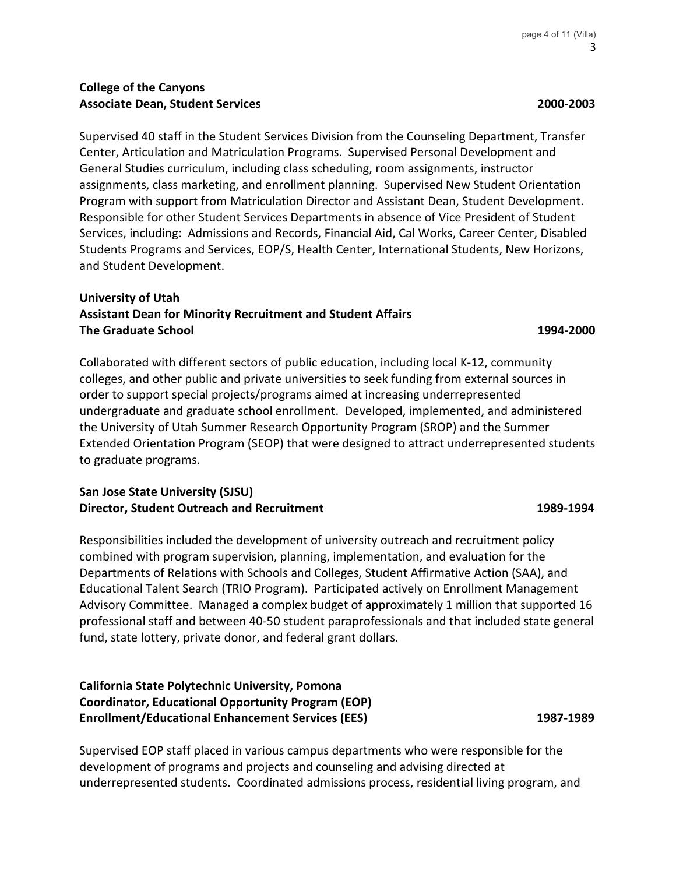Supervised 40 staff in the Student Services Division from the Counseling Department, Transfer Center, Articulation and Matriculation Programs. Supervised Personal Development and General Studies curriculum, including class scheduling, room assignments, instructor assignments, class marketing, and enrollment planning. Supervised New Student Orientation Program with support from Matriculation Director and Assistant Dean, Student Development. Responsible for other Student Services Departments in absence of Vice President of Student Services, including: Admissions and Records, Financial Aid, Cal Works, Career Center, Disabled Students Programs and Services, EOP/S, Health Center, International Students, New Horizons, and Student Development.

# **University of Utah Assistant Dean for Minority Recruitment and Student Affairs The Graduate School 1994-2000**

Collaborated with different sectors of public education, including local K-12, community colleges, and other public and private universities to seek funding from external sources in order to support special projects/programs aimed at increasing underrepresented undergraduate and graduate school enrollment. Developed, implemented, and administered the University of Utah Summer Research Opportunity Program (SROP) and the Summer Extended Orientation Program (SEOP) that were designed to attract underrepresented students to graduate programs.

# **San Jose State University (SJSU) Director, Student Outreach and Recruitment 1989-1994** 1989-1994

Responsibilities included the development of university outreach and recruitment policy combined with program supervision, planning, implementation, and evaluation for the Departments of Relations with Schools and Colleges, Student Affirmative Action (SAA), and Educational Talent Search (TRIO Program). Participated actively on Enrollment Management Advisory Committee. Managed a complex budget of approximately 1 million that supported 16 professional staff and between 40-50 student paraprofessionals and that included state general fund, state lottery, private donor, and federal grant dollars.

# **California State Polytechnic University, Pomona Coordinator, Educational Opportunity Program (EOP) Enrollment/Educational Enhancement Services (EES) 1987-1989**

Supervised EOP staff placed in various campus departments who were responsible for the development of programs and projects and counseling and advising directed at underrepresented students. Coordinated admissions process, residential living program, and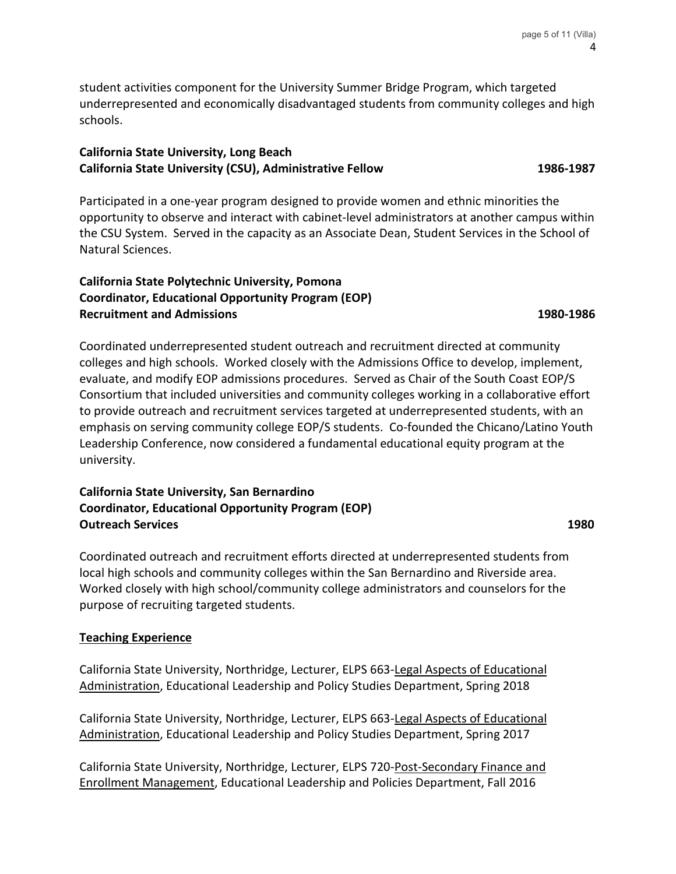student activities component for the University Summer Bridge Program, which targeted underrepresented and economically disadvantaged students from community colleges and high schools.

# **California State University, Long Beach California State University (CSU), Administrative Fellow 1986-1987**

Participated in a one-year program designed to provide women and ethnic minorities the opportunity to observe and interact with cabinet-level administrators at another campus within the CSU System. Served in the capacity as an Associate Dean, Student Services in the School of Natural Sciences.

# **California State Polytechnic University, Pomona Coordinator, Educational Opportunity Program (EOP) Recruitment and Admissions 1980-1986** and 2008 and 2008 and 2008 and 2008 and 2008 and 2008 and 2008 and 2008 and 2008 and 2008 and 2008 and 2008 and 2008 and 2008 and 2008 and 2008 and 2008 and 2008 and 2008 and 2008 and

Coordinated underrepresented student outreach and recruitment directed at community colleges and high schools. Worked closely with the Admissions Office to develop, implement, evaluate, and modify EOP admissions procedures. Served as Chair of the South Coast EOP/S Consortium that included universities and community colleges working in a collaborative effort to provide outreach and recruitment services targeted at underrepresented students, with an emphasis on serving community college EOP/S students. Co-founded the Chicano/Latino Youth Leadership Conference, now considered a fundamental educational equity program at the university.

# **California State University, San Bernardino Coordinator, Educational Opportunity Program (EOP) Outreach Services 1980**

Coordinated outreach and recruitment efforts directed at underrepresented students from local high schools and community colleges within the San Bernardino and Riverside area. Worked closely with high school/community college administrators and counselors for the purpose of recruiting targeted students.

# **Teaching Experience**

California State University, Northridge, Lecturer, ELPS 663-Legal Aspects of Educational Administration, Educational Leadership and Policy Studies Department, Spring 2018

California State University, Northridge, Lecturer, ELPS 663-Legal Aspects of Educational Administration, Educational Leadership and Policy Studies Department, Spring 2017

California State University, Northridge, Lecturer, ELPS 720-Post-Secondary Finance and Enrollment Management, Educational Leadership and Policies Department, Fall 2016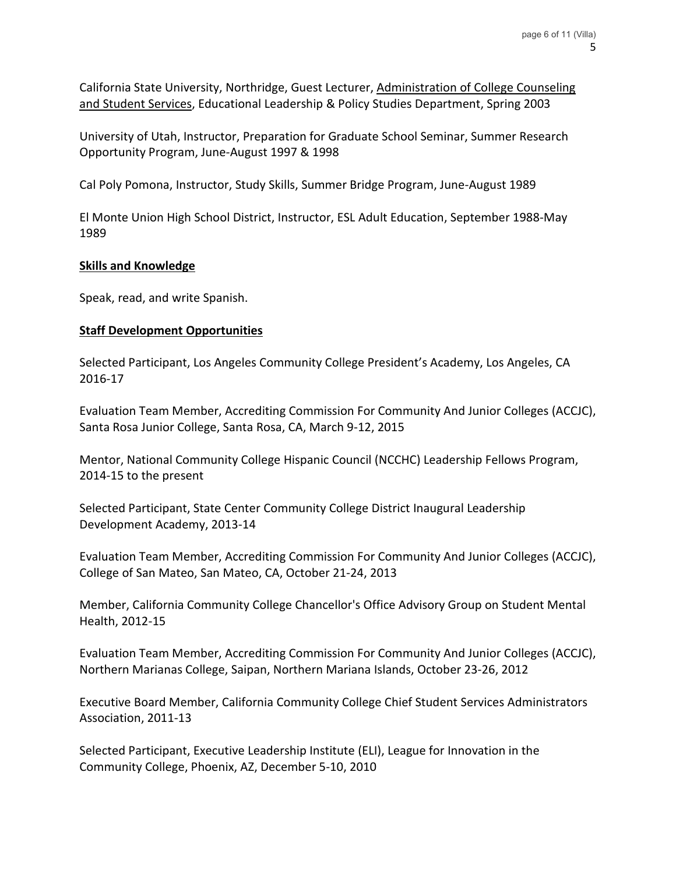California State University, Northridge, Guest Lecturer, Administration of College Counseling and Student Services, Educational Leadership & Policy Studies Department, Spring 2003

University of Utah, Instructor, Preparation for Graduate School Seminar, Summer Research Opportunity Program, June-August 1997 & 1998

Cal Poly Pomona, Instructor, Study Skills, Summer Bridge Program, June-August 1989

El Monte Union High School District, Instructor, ESL Adult Education, September 1988-May 1989

## **Skills and Knowledge**

Speak, read, and write Spanish.

## **Staff Development Opportunities**

Selected Participant, Los Angeles Community College President's Academy, Los Angeles, CA 2016-17

Evaluation Team Member, Accrediting Commission For Community And Junior Colleges (ACCJC), Santa Rosa Junior College, Santa Rosa, CA, March 9-12, 2015

Mentor, National Community College Hispanic Council (NCCHC) Leadership Fellows Program, 2014-15 to the present

Selected Participant, State Center Community College District Inaugural Leadership Development Academy, 2013-14

Evaluation Team Member, Accrediting Commission For Community And Junior Colleges (ACCJC), College of San Mateo, San Mateo, CA, October 21-24, 2013

Member, California Community College Chancellor's Office Advisory Group on Student Mental Health, 2012-15

Evaluation Team Member, Accrediting Commission For Community And Junior Colleges (ACCJC), Northern Marianas College, Saipan, Northern Mariana Islands, October 23-26, 2012

Executive Board Member, California Community College Chief Student Services Administrators Association, 2011-13

Selected Participant, Executive Leadership Institute (ELI), League for Innovation in the Community College, Phoenix, AZ, December 5-10, 2010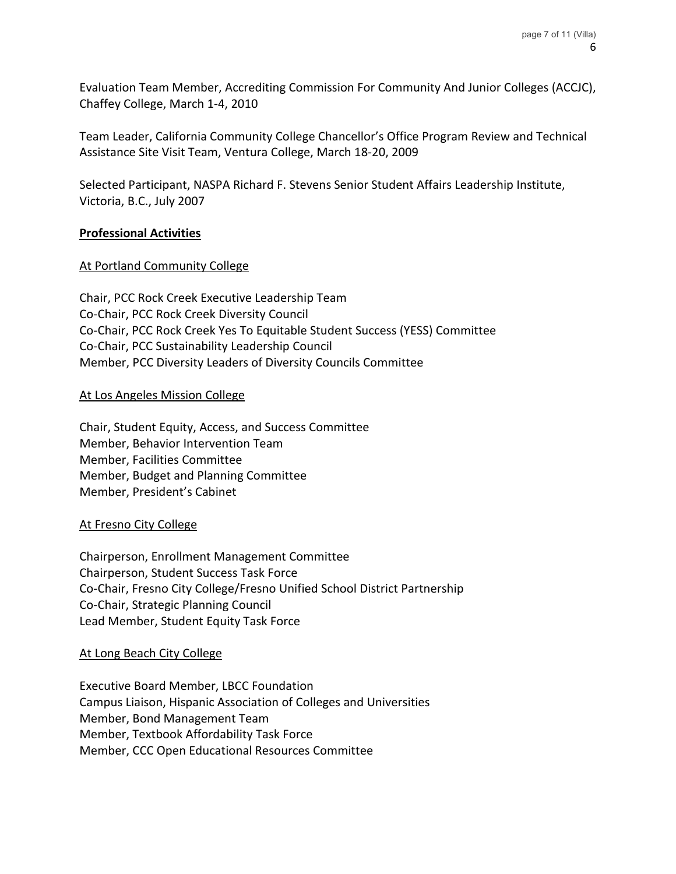Evaluation Team Member, Accrediting Commission For Community And Junior Colleges (ACCJC), Chaffey College, March 1-4, 2010

Team Leader, California Community College Chancellor's Office Program Review and Technical Assistance Site Visit Team, Ventura College, March 18-20, 2009

Selected Participant, NASPA Richard F. Stevens Senior Student Affairs Leadership Institute, Victoria, B.C., July 2007

## **Professional Activities**

## At Portland Community College

Chair, PCC Rock Creek Executive Leadership Team Co-Chair, PCC Rock Creek Diversity Council Co-Chair, PCC Rock Creek Yes To Equitable Student Success (YESS) Committee Co-Chair, PCC Sustainability Leadership Council Member, PCC Diversity Leaders of Diversity Councils Committee

## At Los Angeles Mission College

Chair, Student Equity, Access, and Success Committee Member, Behavior Intervention Team Member, Facilities Committee Member, Budget and Planning Committee Member, President's Cabinet

#### At Fresno City College

Chairperson, Enrollment Management Committee Chairperson, Student Success Task Force Co-Chair, Fresno City College/Fresno Unified School District Partnership Co-Chair, Strategic Planning Council Lead Member, Student Equity Task Force

#### At Long Beach City College

Executive Board Member, LBCC Foundation Campus Liaison, Hispanic Association of Colleges and Universities Member, Bond Management Team Member, Textbook Affordability Task Force Member, CCC Open Educational Resources Committee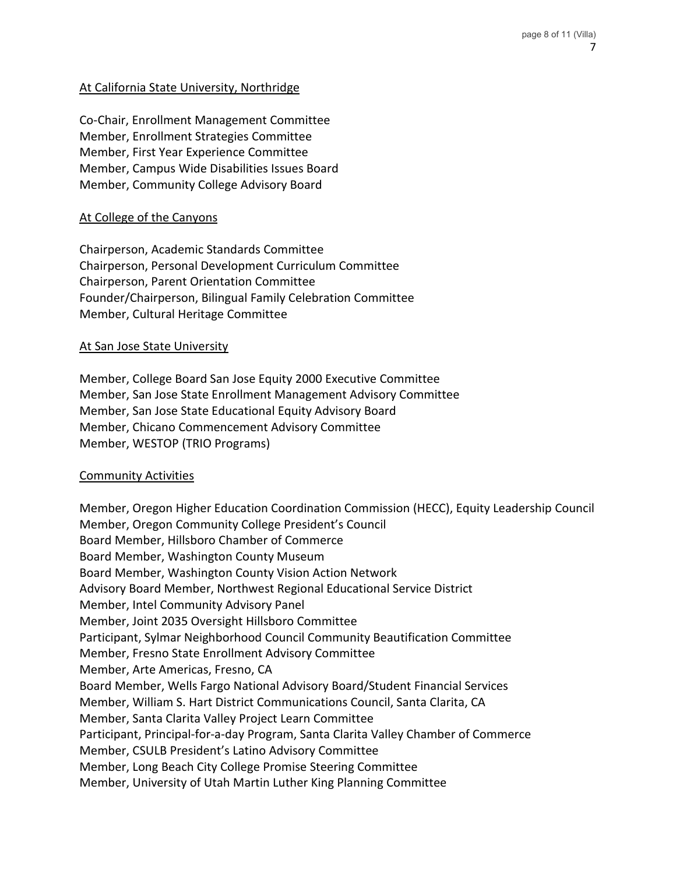# At California State University, Northridge

Co-Chair, Enrollment Management Committee Member, Enrollment Strategies Committee Member, First Year Experience Committee Member, Campus Wide Disabilities Issues Board Member, Community College Advisory Board

#### At College of the Canyons

Chairperson, Academic Standards Committee Chairperson, Personal Development Curriculum Committee Chairperson, Parent Orientation Committee Founder/Chairperson, Bilingual Family Celebration Committee Member, Cultural Heritage Committee

#### At San Jose State University

Member, College Board San Jose Equity 2000 Executive Committee Member, San Jose State Enrollment Management Advisory Committee Member, San Jose State Educational Equity Advisory Board Member, Chicano Commencement Advisory Committee Member, WESTOP (TRIO Programs)

#### Community Activities

Member, Oregon Higher Education Coordination Commission (HECC), Equity Leadership Council Member, Oregon Community College President's Council Board Member, Hillsboro Chamber of Commerce Board Member, Washington County Museum Board Member, Washington County Vision Action Network Advisory Board Member, Northwest Regional Educational Service District Member, Intel Community Advisory Panel Member, Joint 2035 Oversight Hillsboro Committee Participant, Sylmar Neighborhood Council Community Beautification Committee Member, Fresno State Enrollment Advisory Committee Member, Arte Americas, Fresno, CA Board Member, Wells Fargo National Advisory Board/Student Financial Services Member, William S. Hart District Communications Council, Santa Clarita, CA Member, Santa Clarita Valley Project Learn Committee Participant, Principal-for-a-day Program, Santa Clarita Valley Chamber of Commerce Member, CSULB President's Latino Advisory Committee Member, Long Beach City College Promise Steering Committee Member, University of Utah Martin Luther King Planning Committee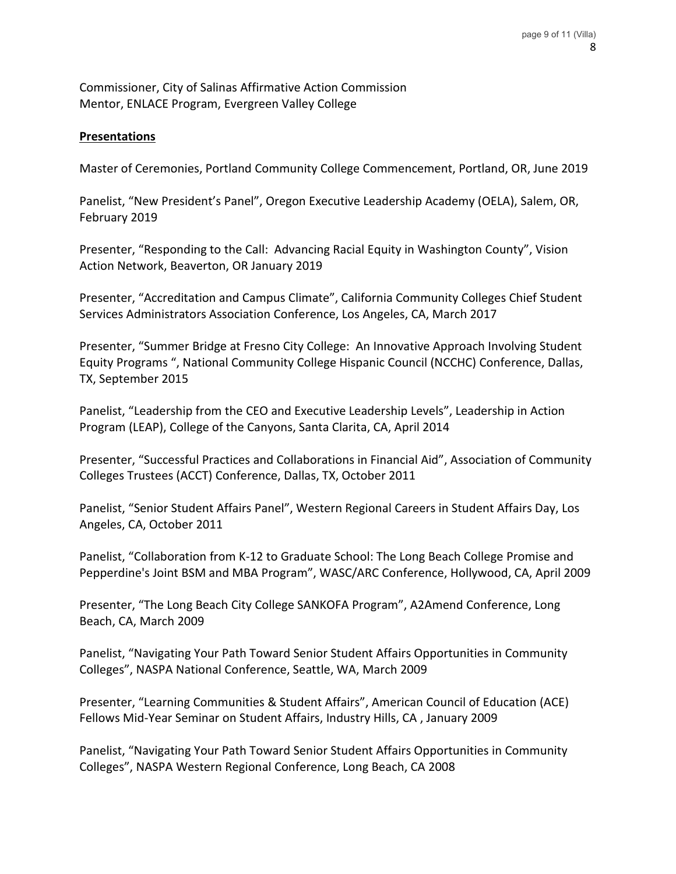Commissioner, City of Salinas Affirmative Action Commission Mentor, ENLACE Program, Evergreen Valley College

## **Presentations**

Master of Ceremonies, Portland Community College Commencement, Portland, OR, June 2019

Panelist, "New President's Panel", Oregon Executive Leadership Academy (OELA), Salem, OR, February 2019

Presenter, "Responding to the Call: Advancing Racial Equity in Washington County", Vision Action Network, Beaverton, OR January 2019

Presenter, "Accreditation and Campus Climate", California Community Colleges Chief Student Services Administrators Association Conference, Los Angeles, CA, March 2017

Presenter, "Summer Bridge at Fresno City College: An Innovative Approach Involving Student Equity Programs ", National Community College Hispanic Council (NCCHC) Conference, Dallas, TX, September 2015

Panelist, "Leadership from the CEO and Executive Leadership Levels", Leadership in Action Program (LEAP), College of the Canyons, Santa Clarita, CA, April 2014

Presenter, "Successful Practices and Collaborations in Financial Aid", Association of Community Colleges Trustees (ACCT) Conference, Dallas, TX, October 2011

Panelist, "Senior Student Affairs Panel", Western Regional Careers in Student Affairs Day, Los Angeles, CA, October 2011

Panelist, "Collaboration from K-12 to Graduate School: The Long Beach College Promise and Pepperdine's Joint BSM and MBA Program", WASC/ARC Conference, Hollywood, CA, April 2009

Presenter, "The Long Beach City College SANKOFA Program", A2Amend Conference, Long Beach, CA, March 2009

Panelist, "Navigating Your Path Toward Senior Student Affairs Opportunities in Community Colleges", NASPA National Conference, Seattle, WA, March 2009

Presenter, "Learning Communities & Student Affairs", American Council of Education (ACE) Fellows Mid-Year Seminar on Student Affairs, Industry Hills, CA , January 2009

Panelist, "Navigating Your Path Toward Senior Student Affairs Opportunities in Community Colleges", NASPA Western Regional Conference, Long Beach, CA 2008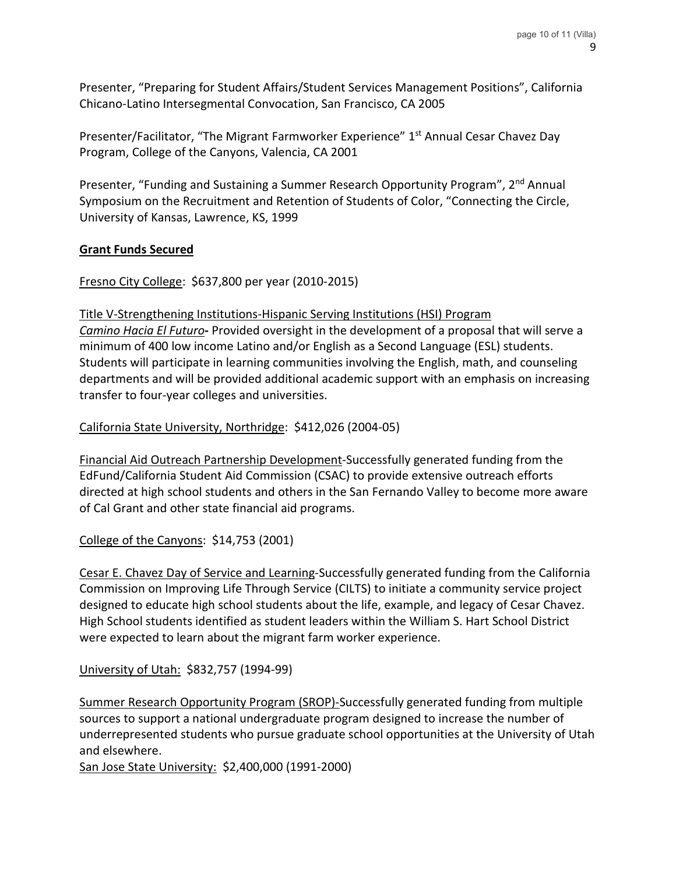Presenter, "Preparing for Student Affairs/Student Services Management Positions", California Chicano-Latino Intersegmental Convocation, San Francisco, CA 2005

Presenter/Facilitator, "The Migrant Farmworker Experience" 1<sup>st</sup> Annual Cesar Chavez Day Program, College of the Canyons, Valencia, CA 2001

Presenter, "Funding and Sustaining a Summer Research Opportunity Program", 2<sup>nd</sup> Annual Symposium on the Recruitment and Retention of Students of Color, "Connecting the Circle, University of Kansas, Lawrence, KS, 1999

## **Grant Funds Secured**

Fresno City College: \$637,800 per year (2010-2015)

transfer to four-year colleges and universities.

Title V-Strengthening Institutions-Hispanic Serving Institutions (HSI) Program *Camino Hacia El Futuro***-** Provided oversight in the development of a proposal that will serve a minimum of 400 low income Latino and/or English as a Second Language (ESL) students. Students will participate in learning communities involving the English, math, and counseling departments and will be provided additional academic support with an emphasis on increasing

California State University, Northridge: \$412,026 (2004-05)

Financial Aid Outreach Partnership Development-Successfully generated funding from the EdFund/California Student Aid Commission (CSAC) to provide extensive outreach efforts directed at high school students and others in the San Fernando Valley to become more aware of Cal Grant and other state financial aid programs.

College of the Canyons: \$14,753 (2001)

Cesar E. Chavez Day of Service and Learning-Successfully generated funding from the California Commission on Improving Life Through Service (CILTS) to initiate a community service project designed to educate high school students about the life, example, and legacy of Cesar Chavez. High School students identified as student leaders within the William S. Hart School District were expected to learn about the migrant farm worker experience.

University of Utah: \$832,757 (1994-99)

Summer Research Opportunity Program (SROP)-Successfully generated funding from multiple sources to support a national undergraduate program designed to increase the number of underrepresented students who pursue graduate school opportunities at the University of Utah and elsewhere.

San Jose State University: \$2,400,000 (1991-2000)